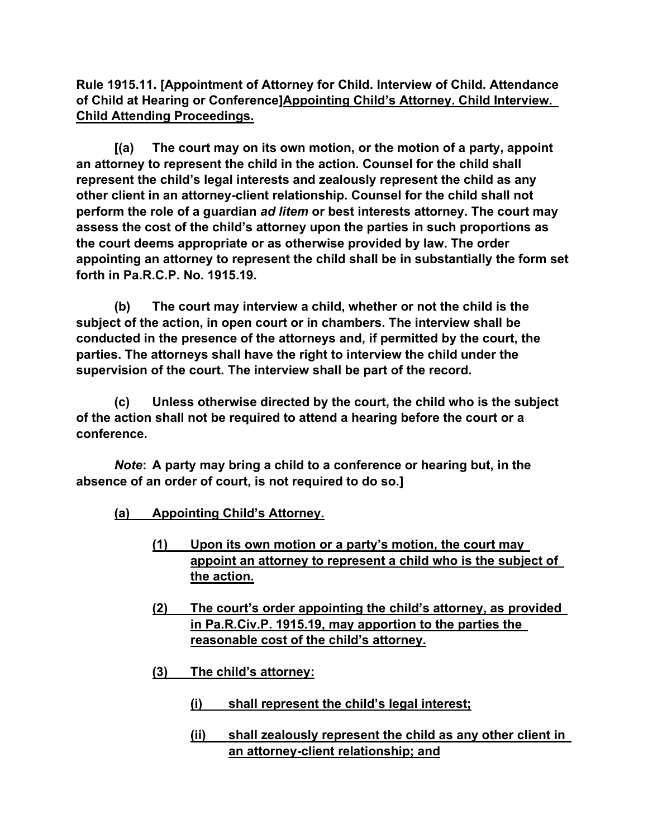**Rule 1915.11. [Appointment of Attorney for Child. Interview of Child. Attendance of Child at Hearing or Conference]Appointing Child's Attorney. Child Interview. Child Attending Proceedings.**

**[(a) The court may on its own motion, or the motion of a party, appoint an attorney to represent the child in the action. Counsel for the child shall represent the child's legal interests and zealously represent the child as any other client in an attorney-client relationship. Counsel for the child shall not perform the role of a guardian** *ad litem* **or best interests attorney. The court may assess the cost of the child's attorney upon the parties in such proportions as the court deems appropriate or as otherwise provided by law. The order appointing an attorney to represent the child shall be in substantially the form set forth in Pa.R.C.P. No. 1915.19.**

**(b) The court may interview a child, whether or not the child is the subject of the action, in open court or in chambers. The interview shall be conducted in the presence of the attorneys and, if permitted by the court, the parties. The attorneys shall have the right to interview the child under the supervision of the court. The interview shall be part of the record.**

**(c) Unless otherwise directed by the court, the child who is the subject of the action shall not be required to attend a hearing before the court or a conference.**

*Note***: A party may bring a child to a conference or hearing but, in the absence of an order of court, is not required to do so.]**

- **(a) Appointing Child's Attorney***.*
	- **(1) Upon its own motion or a party's motion, the court may appoint an attorney to represent a child who is the subject of the action.**
	- **(2) The court's order appointing the child's attorney, as provided in Pa.R.Civ.P. 1915.19, may apportion to the parties the reasonable cost of the child's attorney.**
	- **(3) The child's attorney:**
		- **(i) shall represent the child's legal interest;**
		- **(ii) shall zealously represent the child as any other client in an attorney-client relationship; and**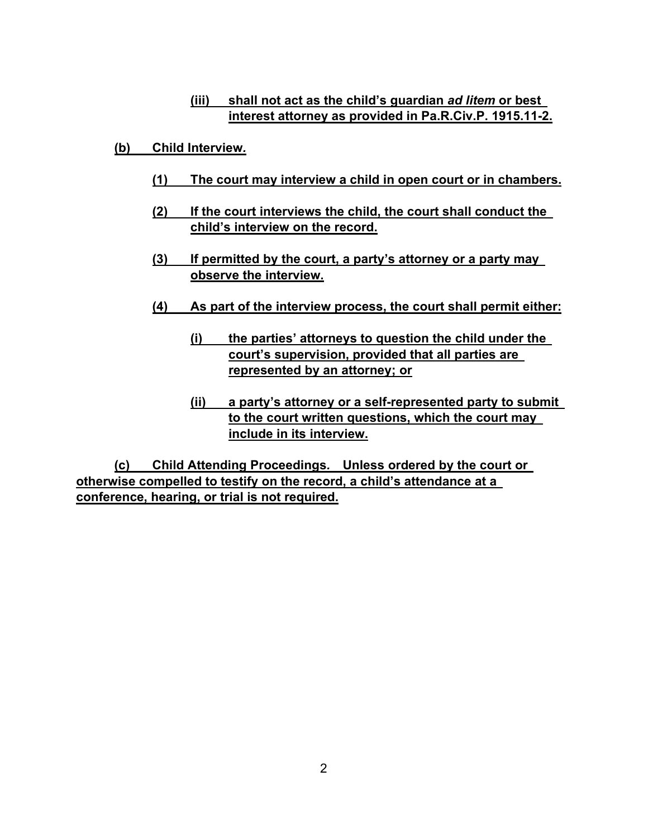## **(iii) shall not act as the child's guardian** *ad litem* **or best interest attorney as provided in Pa.R.Civ.P. 1915.11-2.**

- **(b) Child Interview***.*
	- **(1) The court may interview a child in open court or in chambers.**
	- **(2) If the court interviews the child, the court shall conduct the child's interview on the record.**
	- **(3) If permitted by the court, a party's attorney or a party may observe the interview.**
	- **(4) As part of the interview process, the court shall permit either:**
		- **(i) the parties' attorneys to question the child under the court's supervision, provided that all parties are represented by an attorney; or**
		- **(ii) a party's attorney or a self-represented party to submit to the court written questions, which the court may include in its interview.**

**(c) Child Attending Proceedings***.* **Unless ordered by the court or otherwise compelled to testify on the record, a child's attendance at a conference, hearing, or trial is not required.**